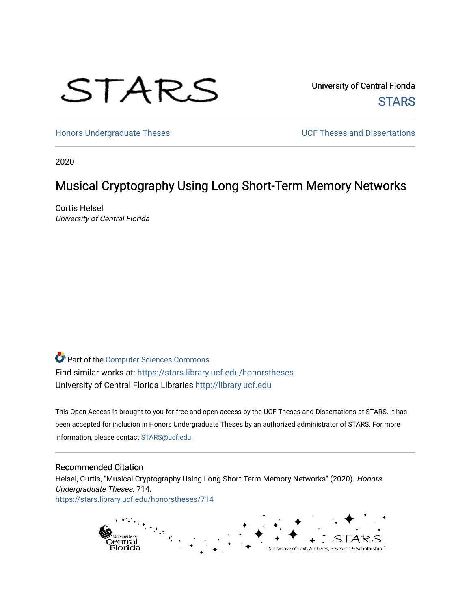# STARS

University of Central Florida **STARS** 

[Honors Undergraduate Theses](https://stars.library.ucf.edu/honorstheses) **Exercise 2018** UCF Theses and Dissertations

2020

# Musical Cryptography Using Long Short-Term Memory Networks

Curtis Helsel University of Central Florida

Part of the [Computer Sciences Commons](http://network.bepress.com/hgg/discipline/142?utm_source=stars.library.ucf.edu%2Fhonorstheses%2F714&utm_medium=PDF&utm_campaign=PDFCoverPages) Find similar works at: <https://stars.library.ucf.edu/honorstheses> University of Central Florida Libraries [http://library.ucf.edu](http://library.ucf.edu/) 

This Open Access is brought to you for free and open access by the UCF Theses and Dissertations at STARS. It has been accepted for inclusion in Honors Undergraduate Theses by an authorized administrator of STARS. For more information, please contact [STARS@ucf.edu.](mailto:STARS@ucf.edu)

#### Recommended Citation

Helsel, Curtis, "Musical Cryptography Using Long Short-Term Memory Networks" (2020). Honors Undergraduate Theses. 714. [https://stars.library.ucf.edu/honorstheses/714](https://stars.library.ucf.edu/honorstheses/714?utm_source=stars.library.ucf.edu%2Fhonorstheses%2F714&utm_medium=PDF&utm_campaign=PDFCoverPages) 

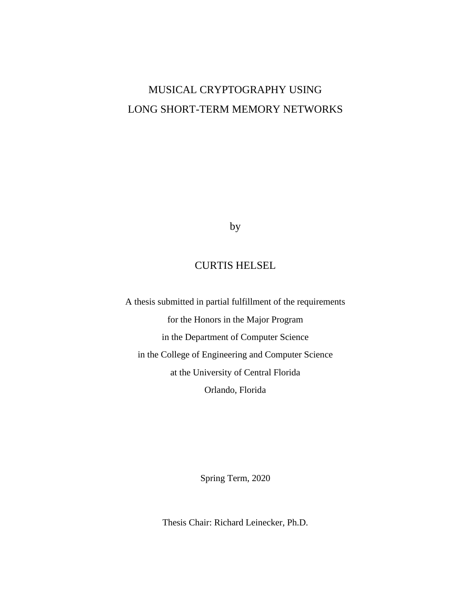# MUSICAL CRYPTOGRAPHY USING LONG SHORT-TERM MEMORY NETWORKS

by

# CURTIS HELSEL

A thesis submitted in partial fulfillment of the requirements for the Honors in the Major Program in the Department of Computer Science in the College of Engineering and Computer Science at the University of Central Florida Orlando, Florida

Spring Term, 2020

Thesis Chair: Richard Leinecker, Ph.D.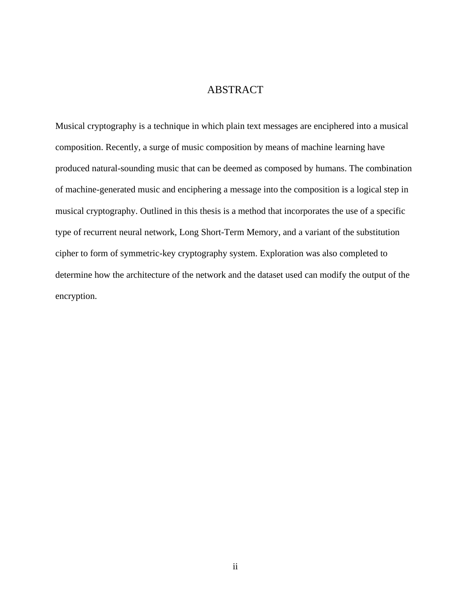## ABSTRACT

Musical cryptography is a technique in which plain text messages are enciphered into a musical composition. Recently, a surge of music composition by means of machine learning have produced natural-sounding music that can be deemed as composed by humans. The combination of machine-generated music and enciphering a message into the composition is a logical step in musical cryptography. Outlined in this thesis is a method that incorporates the use of a specific type of recurrent neural network, Long Short-Term Memory, and a variant of the substitution cipher to form of symmetric-key cryptography system. Exploration was also completed to determine how the architecture of the network and the dataset used can modify the output of the encryption.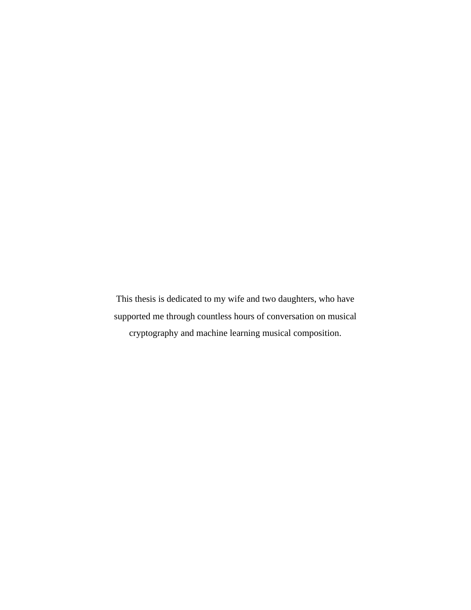This thesis is dedicated to my wife and two daughters, who have supported me through countless hours of conversation on musical cryptography and machine learning musical composition.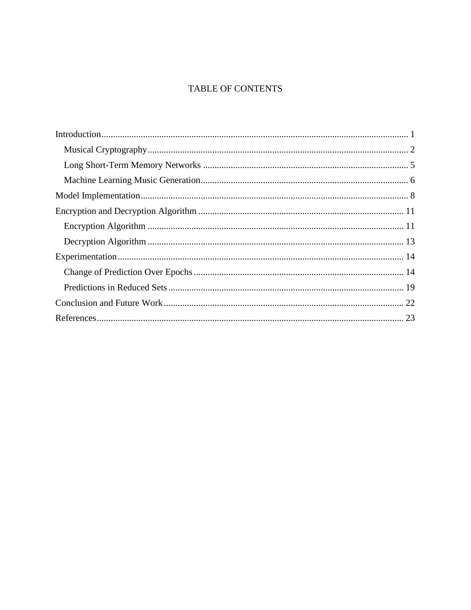# TABLE OF CONTENTS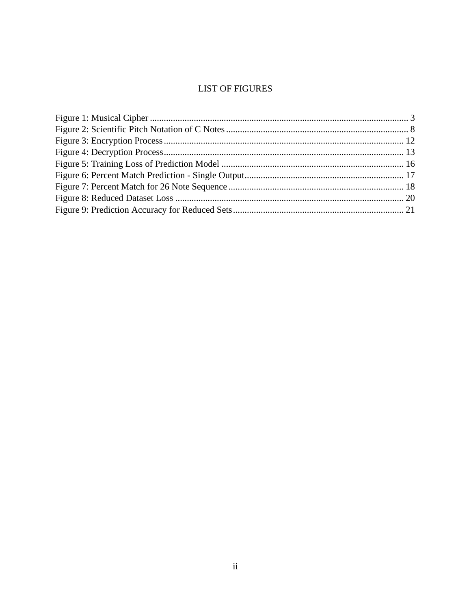# **LIST OF FIGURES**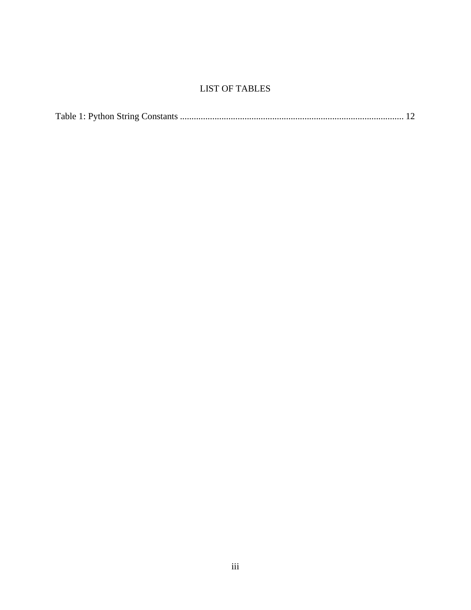## LIST OF TABLES

|--|--|--|--|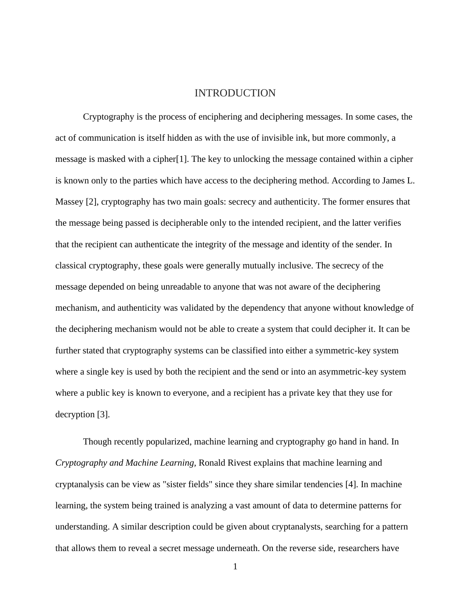#### INTRODUCTION

<span id="page-7-0"></span>Cryptography is the process of enciphering and deciphering messages. In some cases, the act of communication is itself hidden as with the use of invisible ink, but more commonly, a message is masked with a cipher[1]. The key to unlocking the message contained within a cipher is known only to the parties which have access to the deciphering method. According to James L. Massey [2], cryptography has two main goals: secrecy and authenticity. The former ensures that the message being passed is decipherable only to the intended recipient, and the latter verifies that the recipient can authenticate the integrity of the message and identity of the sender. In classical cryptography, these goals were generally mutually inclusive. The secrecy of the message depended on being unreadable to anyone that was not aware of the deciphering mechanism, and authenticity was validated by the dependency that anyone without knowledge of the deciphering mechanism would not be able to create a system that could decipher it. It can be further stated that cryptography systems can be classified into either a symmetric-key system where a single key is used by both the recipient and the send or into an asymmetric-key system where a public key is known to everyone, and a recipient has a private key that they use for decryption [3].

Though recently popularized, machine learning and cryptography go hand in hand. In *Cryptography and Machine Learning,* Ronald Rivest explains that machine learning and cryptanalysis can be view as "sister fields" since they share similar tendencies [4]. In machine learning, the system being trained is analyzing a vast amount of data to determine patterns for understanding. A similar description could be given about cryptanalysts, searching for a pattern that allows them to reveal a secret message underneath. On the reverse side, researchers have

<sup>1</sup>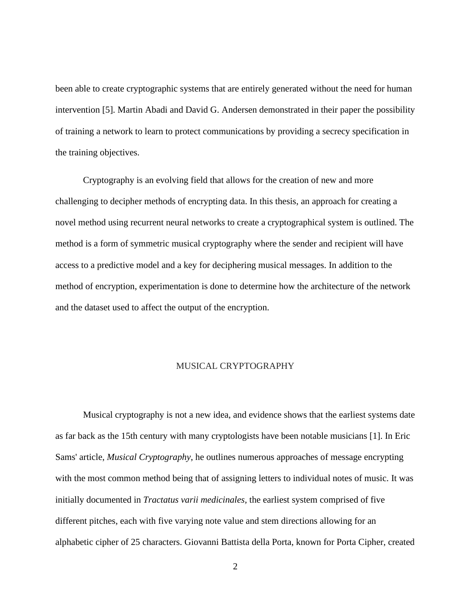been able to create cryptographic systems that are entirely generated without the need for human intervention [5]. Martin Abadi and David G. Andersen demonstrated in their paper the possibility of training a network to learn to protect communications by providing a secrecy specification in the training objectives.

Cryptography is an evolving field that allows for the creation of new and more challenging to decipher methods of encrypting data. In this thesis, an approach for creating a novel method using recurrent neural networks to create a cryptographical system is outlined. The method is a form of symmetric musical cryptography where the sender and recipient will have access to a predictive model and a key for deciphering musical messages. In addition to the method of encryption, experimentation is done to determine how the architecture of the network and the dataset used to affect the output of the encryption.

#### MUSICAL CRYPTOGRAPHY

<span id="page-8-0"></span>Musical cryptography is not a new idea, and evidence shows that the earliest systems date as far back as the 15th century with many cryptologists have been notable musicians [1]. In Eric Sams' article, *Musical Cryptography*, he outlines numerous approaches of message encrypting with the most common method being that of assigning letters to individual notes of music. It was initially documented in *Tractatus varii medicinales,* the earliest system comprised of five different pitches, each with five varying note value and stem directions allowing for an alphabetic cipher of 25 characters. Giovanni Battista della Porta, known for Porta Cipher, created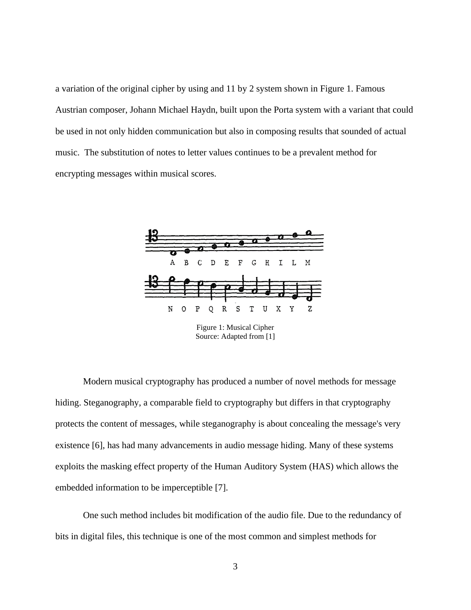a variation of the original cipher by using and 11 by 2 system shown in Figure 1. Famous Austrian composer, Johann Michael Haydn, built upon the Porta system with a variant that could be used in not only hidden communication but also in composing results that sounded of actual music. The substitution of notes to letter values continues to be a prevalent method for encrypting messages within musical scores.



Source: Adapted from [1]

<span id="page-9-0"></span>Modern musical cryptography has produced a number of novel methods for message hiding. Steganography, a comparable field to cryptography but differs in that cryptography protects the content of messages, while steganography is about concealing the message's very existence [6], has had many advancements in audio message hiding. Many of these systems exploits the masking effect property of the Human Auditory System (HAS) which allows the embedded information to be imperceptible [7].

One such method includes bit modification of the audio file. Due to the redundancy of bits in digital files, this technique is one of the most common and simplest methods for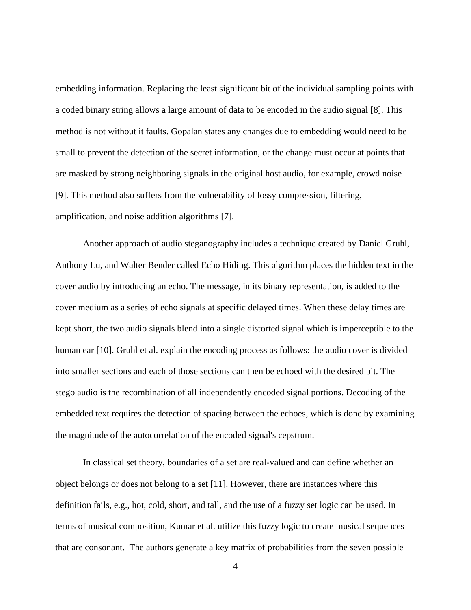embedding information. Replacing the least significant bit of the individual sampling points with a coded binary string allows a large amount of data to be encoded in the audio signal [8]. This method is not without it faults. Gopalan states any changes due to embedding would need to be small to prevent the detection of the secret information, or the change must occur at points that are masked by strong neighboring signals in the original host audio, for example, crowd noise [9]. This method also suffers from the vulnerability of lossy compression, filtering, amplification, and noise addition algorithms [7].

Another approach of audio steganography includes a technique created by Daniel Gruhl, Anthony Lu, and Walter Bender called Echo Hiding. This algorithm places the hidden text in the cover audio by introducing an echo. The message, in its binary representation, is added to the cover medium as a series of echo signals at specific delayed times. When these delay times are kept short, the two audio signals blend into a single distorted signal which is imperceptible to the human ear [10]. Gruhl et al. explain the encoding process as follows: the audio cover is divided into smaller sections and each of those sections can then be echoed with the desired bit. The stego audio is the recombination of all independently encoded signal portions. Decoding of the embedded text requires the detection of spacing between the echoes, which is done by examining the magnitude of the autocorrelation of the encoded signal's cepstrum.

In classical set theory, boundaries of a set are real-valued and can define whether an object belongs or does not belong to a set [11]. However, there are instances where this definition fails, e.g., hot, cold, short, and tall, and the use of a fuzzy set logic can be used. In terms of musical composition, Kumar et al. utilize this fuzzy logic to create musical sequences that are consonant. The authors generate a key matrix of probabilities from the seven possible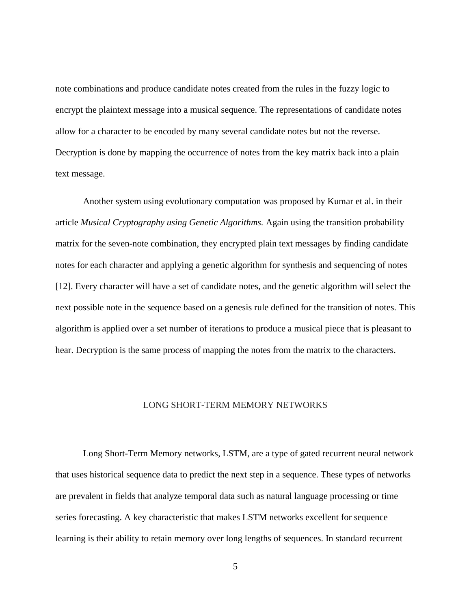note combinations and produce candidate notes created from the rules in the fuzzy logic to encrypt the plaintext message into a musical sequence. The representations of candidate notes allow for a character to be encoded by many several candidate notes but not the reverse. Decryption is done by mapping the occurrence of notes from the key matrix back into a plain text message.

Another system using evolutionary computation was proposed by Kumar et al. in their article *Musical Cryptography using Genetic Algorithms.* Again using the transition probability matrix for the seven-note combination, they encrypted plain text messages by finding candidate notes for each character and applying a genetic algorithm for synthesis and sequencing of notes [12]. Every character will have a set of candidate notes, and the genetic algorithm will select the next possible note in the sequence based on a genesis rule defined for the transition of notes. This algorithm is applied over a set number of iterations to produce a musical piece that is pleasant to hear. Decryption is the same process of mapping the notes from the matrix to the characters.

#### LONG SHORT-TERM MEMORY NETWORKS

<span id="page-11-0"></span>Long Short-Term Memory networks, LSTM, are a type of gated recurrent neural network that uses historical sequence data to predict the next step in a sequence. These types of networks are prevalent in fields that analyze temporal data such as natural language processing or time series forecasting. A key characteristic that makes LSTM networks excellent for sequence learning is their ability to retain memory over long lengths of sequences. In standard recurrent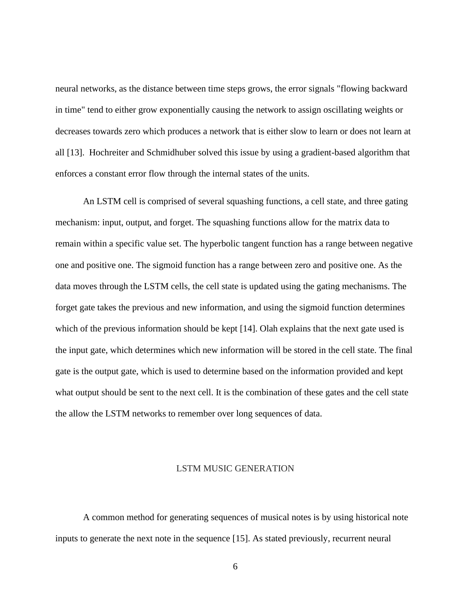neural networks, as the distance between time steps grows, the error signals "flowing backward in time" tend to either grow exponentially causing the network to assign oscillating weights or decreases towards zero which produces a network that is either slow to learn or does not learn at all [13]. Hochreiter and Schmidhuber solved this issue by using a gradient-based algorithm that enforces a constant error flow through the internal states of the units.

An LSTM cell is comprised of several squashing functions, a cell state, and three gating mechanism: input, output, and forget. The squashing functions allow for the matrix data to remain within a specific value set. The hyperbolic tangent function has a range between negative one and positive one. The sigmoid function has a range between zero and positive one. As the data moves through the LSTM cells, the cell state is updated using the gating mechanisms. The forget gate takes the previous and new information, and using the sigmoid function determines which of the previous information should be kept [14]. Olah explains that the next gate used is the input gate, which determines which new information will be stored in the cell state. The final gate is the output gate, which is used to determine based on the information provided and kept what output should be sent to the next cell. It is the combination of these gates and the cell state the allow the LSTM networks to remember over long sequences of data.

#### LSTM MUSIC GENERATION

<span id="page-12-0"></span>A common method for generating sequences of musical notes is by using historical note inputs to generate the next note in the sequence [15]. As stated previously, recurrent neural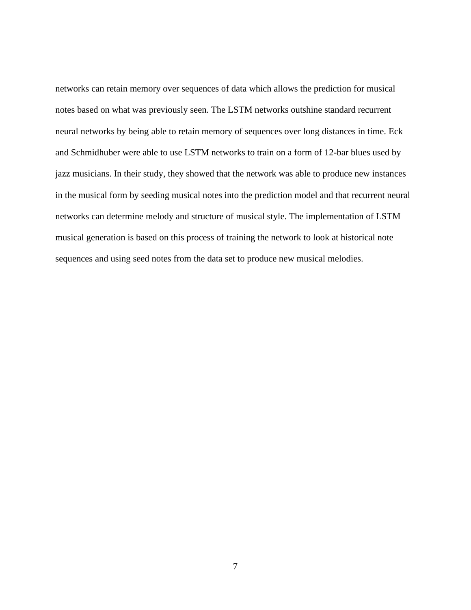networks can retain memory over sequences of data which allows the prediction for musical notes based on what was previously seen. The LSTM networks outshine standard recurrent neural networks by being able to retain memory of sequences over long distances in time. Eck and Schmidhuber were able to use LSTM networks to train on a form of 12-bar blues used by jazz musicians. In their study, they showed that the network was able to produce new instances in the musical form by seeding musical notes into the prediction model and that recurrent neural networks can determine melody and structure of musical style. The implementation of LSTM musical generation is based on this process of training the network to look at historical note sequences and using seed notes from the data set to produce new musical melodies.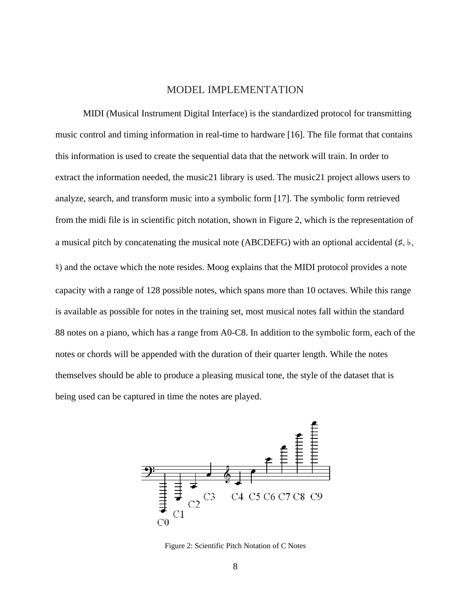#### MODEL IMPLEMENTATION

<span id="page-14-0"></span>MIDI (Musical Instrument Digital Interface) is the standardized protocol for transmitting music control and timing information in real-time to hardware [16]. The file format that contains this information is used to create the sequential data that the network will train. In order to extract the information needed, the music21 library is used. The music21 project allows users to analyze, search, and transform music into a symbolic form [17]. The symbolic form retrieved from the midi file is in scientific pitch notation, shown in Figure 2, which is the representation of a musical pitch by concatenating the musical note (ABCDEFG) with an optional accidental (♯, ♭, ♮) and the octave which the note resides. Moog explains that the MIDI protocol provides a note capacity with a range of 128 possible notes, which spans more than 10 octaves. While this range is available as possible for notes in the training set, most musical notes fall within the standard 88 notes on a piano, which has a range from A0-C8. In addition to the symbolic form, each of the notes or chords will be appended with the duration of their quarter length. While the notes themselves should be able to produce a pleasing musical tone, the style of the dataset that is being used can be captured in time the notes are played.



<span id="page-14-1"></span>Figure 2: Scientific Pitch Notation of C Notes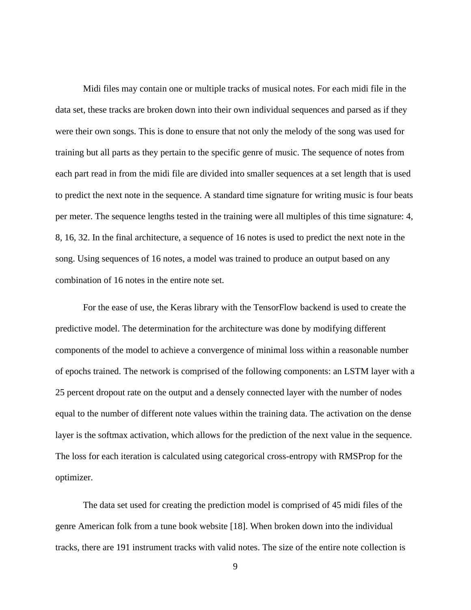Midi files may contain one or multiple tracks of musical notes. For each midi file in the data set, these tracks are broken down into their own individual sequences and parsed as if they were their own songs. This is done to ensure that not only the melody of the song was used for training but all parts as they pertain to the specific genre of music. The sequence of notes from each part read in from the midi file are divided into smaller sequences at a set length that is used to predict the next note in the sequence. A standard time signature for writing music is four beats per meter. The sequence lengths tested in the training were all multiples of this time signature: 4, 8, 16, 32. In the final architecture, a sequence of 16 notes is used to predict the next note in the song. Using sequences of 16 notes, a model was trained to produce an output based on any combination of 16 notes in the entire note set.

For the ease of use, the Keras library with the TensorFlow backend is used to create the predictive model. The determination for the architecture was done by modifying different components of the model to achieve a convergence of minimal loss within a reasonable number of epochs trained. The network is comprised of the following components: an LSTM layer with a 25 percent dropout rate on the output and a densely connected layer with the number of nodes equal to the number of different note values within the training data. The activation on the dense layer is the softmax activation, which allows for the prediction of the next value in the sequence. The loss for each iteration is calculated using categorical cross-entropy with RMSProp for the optimizer.

The data set used for creating the prediction model is comprised of 45 midi files of the genre American folk from a tune book website [18]. When broken down into the individual tracks, there are 191 instrument tracks with valid notes. The size of the entire note collection is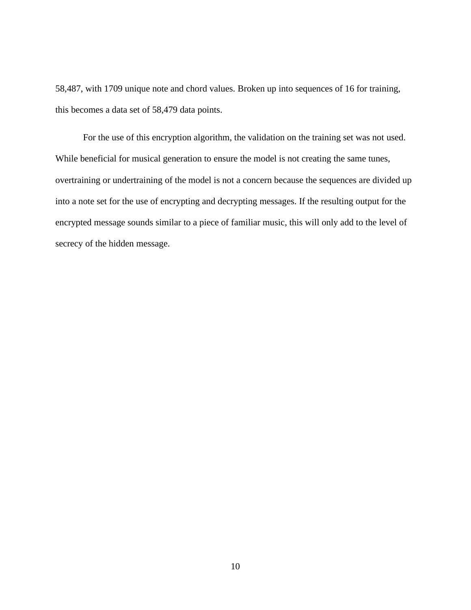58,487, with 1709 unique note and chord values. Broken up into sequences of 16 for training, this becomes a data set of 58,479 data points.

For the use of this encryption algorithm, the validation on the training set was not used. While beneficial for musical generation to ensure the model is not creating the same tunes, overtraining or undertraining of the model is not a concern because the sequences are divided up into a note set for the use of encrypting and decrypting messages. If the resulting output for the encrypted message sounds similar to a piece of familiar music, this will only add to the level of secrecy of the hidden message.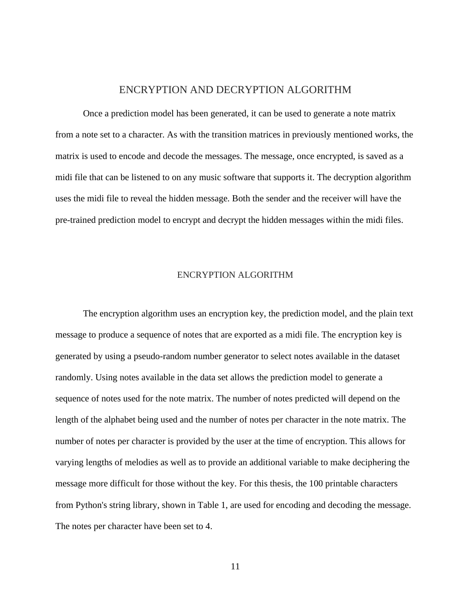#### ENCRYPTION AND DECRYPTION ALGORITHM

<span id="page-17-0"></span>Once a prediction model has been generated, it can be used to generate a note matrix from a note set to a character. As with the transition matrices in previously mentioned works, the matrix is used to encode and decode the messages. The message, once encrypted, is saved as a midi file that can be listened to on any music software that supports it. The decryption algorithm uses the midi file to reveal the hidden message. Both the sender and the receiver will have the pre-trained prediction model to encrypt and decrypt the hidden messages within the midi files.

#### ENCRYPTION ALGORITHM

<span id="page-17-1"></span>The encryption algorithm uses an encryption key, the prediction model, and the plain text message to produce a sequence of notes that are exported as a midi file. The encryption key is generated by using a pseudo-random number generator to select notes available in the dataset randomly. Using notes available in the data set allows the prediction model to generate a sequence of notes used for the note matrix. The number of notes predicted will depend on the length of the alphabet being used and the number of notes per character in the note matrix. The number of notes per character is provided by the user at the time of encryption. This allows for varying lengths of melodies as well as to provide an additional variable to make deciphering the message more difficult for those without the key. For this thesis, the 100 printable characters from Python's string library, shown in Table 1, are used for encoding and decoding the message. The notes per character have been set to 4.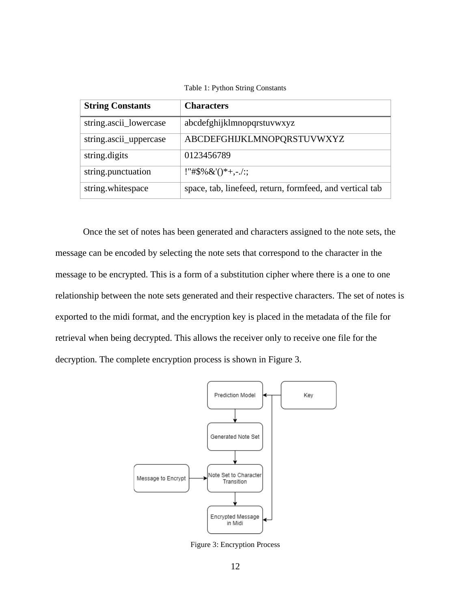Table 1: Python String Constants

<span id="page-18-1"></span>

| <b>String Constants</b> | <b>Characters</b>                                        |
|-------------------------|----------------------------------------------------------|
| string.ascii_lowercase  | abcdefghijklmnopqrstuvwxyz                               |
| string.ascii_uppercase  | ABCDEFGHIJKLMNOPQRSTUVWXYZ                               |
| string.digits           | 0123456789                                               |
| string.punctuation      | !"#\$% $&($ $)*+,-/$ ::                                  |
| string.whitespace       | space, tab, linefeed, return, formfeed, and vertical tab |

Once the set of notes has been generated and characters assigned to the note sets, the message can be encoded by selecting the note sets that correspond to the character in the message to be encrypted. This is a form of a substitution cipher where there is a one to one relationship between the note sets generated and their respective characters. The set of notes is exported to the midi format, and the encryption key is placed in the metadata of the file for retrieval when being decrypted. This allows the receiver only to receive one file for the decryption. The complete encryption process is shown in Figure 3.



<span id="page-18-0"></span>Figure 3: Encryption Process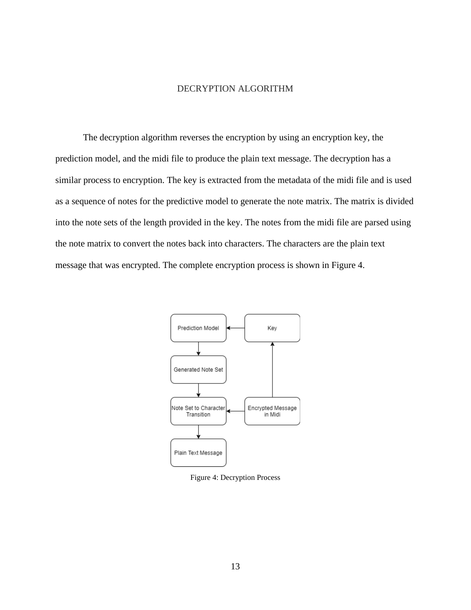#### DECRYPTION ALGORITHM

<span id="page-19-0"></span>The decryption algorithm reverses the encryption by using an encryption key, the prediction model, and the midi file to produce the plain text message. The decryption has a similar process to encryption. The key is extracted from the metadata of the midi file and is used as a sequence of notes for the predictive model to generate the note matrix. The matrix is divided into the note sets of the length provided in the key. The notes from the midi file are parsed using the note matrix to convert the notes back into characters. The characters are the plain text message that was encrypted. The complete encryption process is shown in Figure 4.



<span id="page-19-1"></span>Figure 4: Decryption Process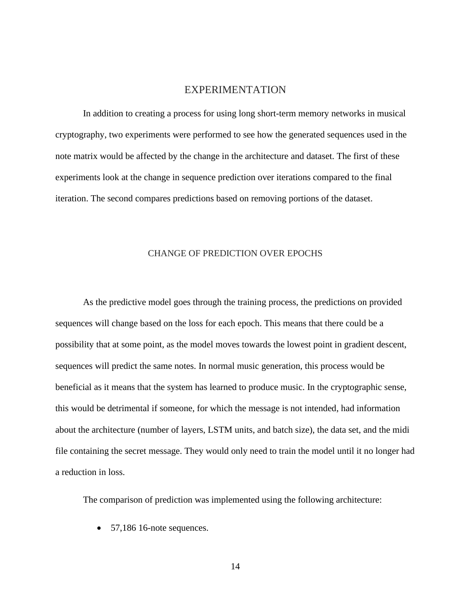#### EXPERIMENTATION

<span id="page-20-0"></span>In addition to creating a process for using long short-term memory networks in musical cryptography, two experiments were performed to see how the generated sequences used in the note matrix would be affected by the change in the architecture and dataset. The first of these experiments look at the change in sequence prediction over iterations compared to the final iteration. The second compares predictions based on removing portions of the dataset.

#### CHANGE OF PREDICTION OVER EPOCHS

<span id="page-20-1"></span>As the predictive model goes through the training process, the predictions on provided sequences will change based on the loss for each epoch. This means that there could be a possibility that at some point, as the model moves towards the lowest point in gradient descent, sequences will predict the same notes. In normal music generation, this process would be beneficial as it means that the system has learned to produce music. In the cryptographic sense, this would be detrimental if someone, for which the message is not intended, had information about the architecture (number of layers, LSTM units, and batch size), the data set, and the midi file containing the secret message. They would only need to train the model until it no longer had a reduction in loss.

The comparison of prediction was implemented using the following architecture:

• 57,186 16-note sequences.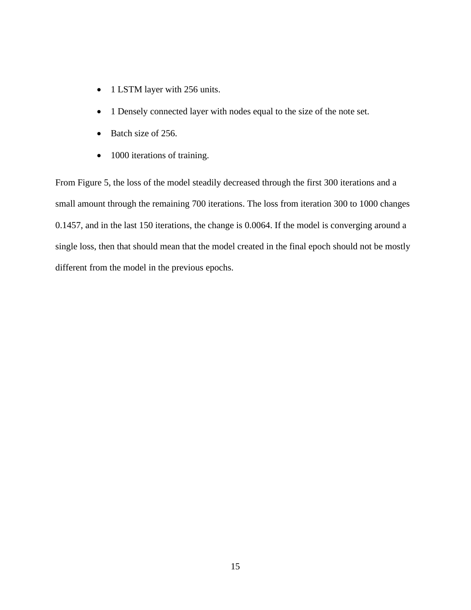- 1 LSTM layer with 256 units.
- 1 Densely connected layer with nodes equal to the size of the note set.
- Batch size of 256.
- 1000 iterations of training.

From Figure 5, the loss of the model steadily decreased through the first 300 iterations and a small amount through the remaining 700 iterations. The loss from iteration 300 to 1000 changes 0.1457, and in the last 150 iterations, the change is 0.0064. If the model is converging around a single loss, then that should mean that the model created in the final epoch should not be mostly different from the model in the previous epochs.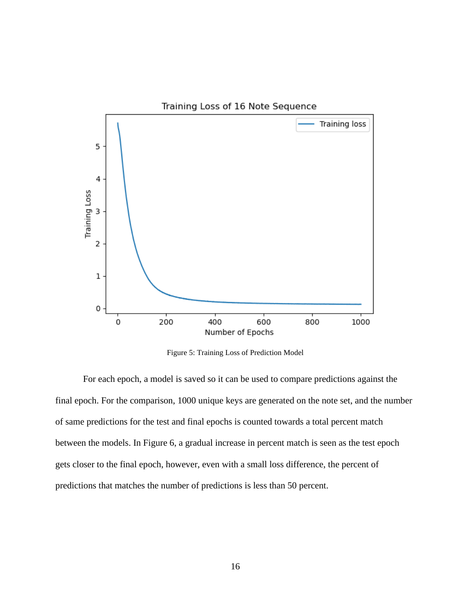

Figure 5: Training Loss of Prediction Model

<span id="page-22-0"></span>For each epoch, a model is saved so it can be used to compare predictions against the final epoch. For the comparison, 1000 unique keys are generated on the note set, and the number of same predictions for the test and final epochs is counted towards a total percent match between the models. In Figure 6, a gradual increase in percent match is seen as the test epoch gets closer to the final epoch, however, even with a small loss difference, the percent of predictions that matches the number of predictions is less than 50 percent.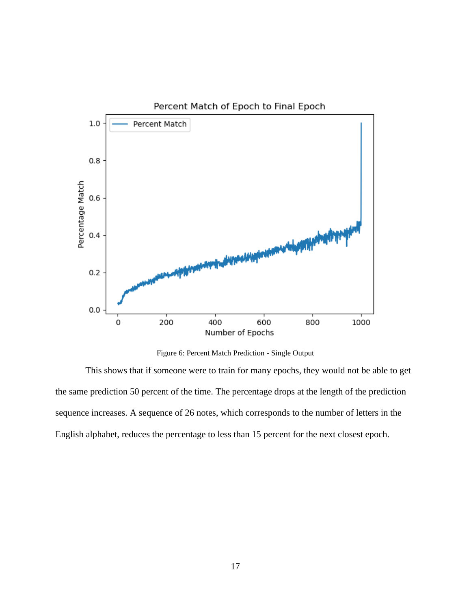

Figure 6: Percent Match Prediction - Single Output

<span id="page-23-0"></span>This shows that if someone were to train for many epochs, they would not be able to get the same prediction 50 percent of the time. The percentage drops at the length of the prediction sequence increases. A sequence of 26 notes, which corresponds to the number of letters in the English alphabet, reduces the percentage to less than 15 percent for the next closest epoch.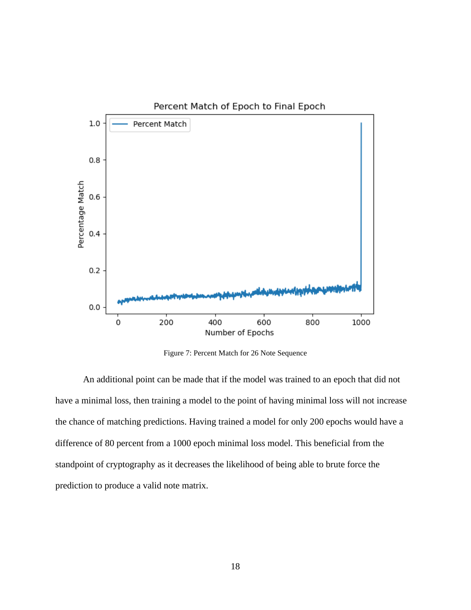

Figure 7: Percent Match for 26 Note Sequence

<span id="page-24-0"></span>An additional point can be made that if the model was trained to an epoch that did not have a minimal loss, then training a model to the point of having minimal loss will not increase the chance of matching predictions. Having trained a model for only 200 epochs would have a difference of 80 percent from a 1000 epoch minimal loss model. This beneficial from the standpoint of cryptography as it decreases the likelihood of being able to brute force the prediction to produce a valid note matrix.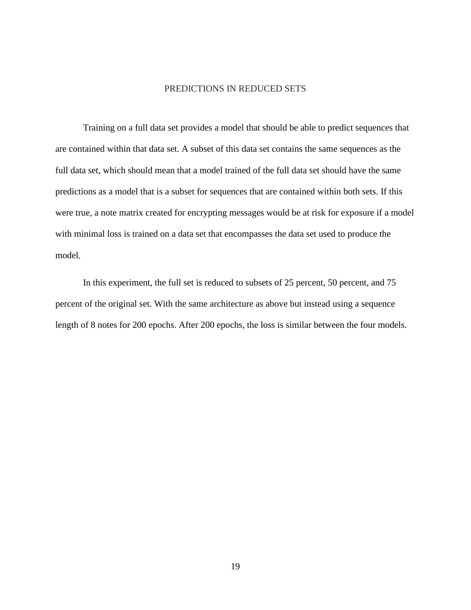#### PREDICTIONS IN REDUCED SETS

<span id="page-25-0"></span>Training on a full data set provides a model that should be able to predict sequences that are contained within that data set. A subset of this data set contains the same sequences as the full data set, which should mean that a model trained of the full data set should have the same predictions as a model that is a subset for sequences that are contained within both sets. If this were true, a note matrix created for encrypting messages would be at risk for exposure if a model with minimal loss is trained on a data set that encompasses the data set used to produce the model.

In this experiment, the full set is reduced to subsets of 25 percent, 50 percent, and 75 percent of the original set. With the same architecture as above but instead using a sequence length of 8 notes for 200 epochs. After 200 epochs, the loss is similar between the four models.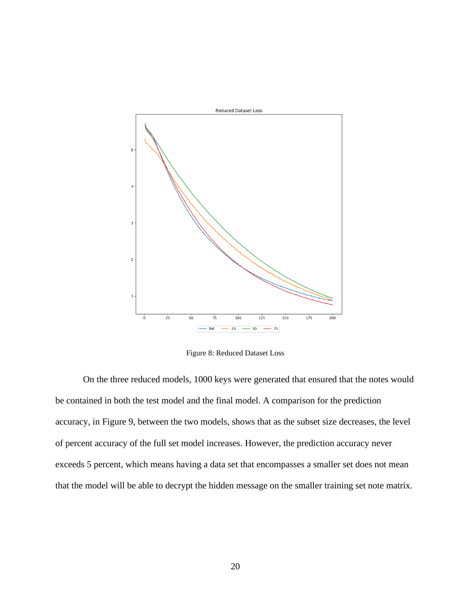

Figure 8: Reduced Dataset Loss

<span id="page-26-0"></span>On the three reduced models, 1000 keys were generated that ensured that the notes would be contained in both the test model and the final model. A comparison for the prediction accuracy, in Figure 9, between the two models, shows that as the subset size decreases, the level of percent accuracy of the full set model increases. However, the prediction accuracy never exceeds 5 percent, which means having a data set that encompasses a smaller set does not mean that the model will be able to decrypt the hidden message on the smaller training set note matrix.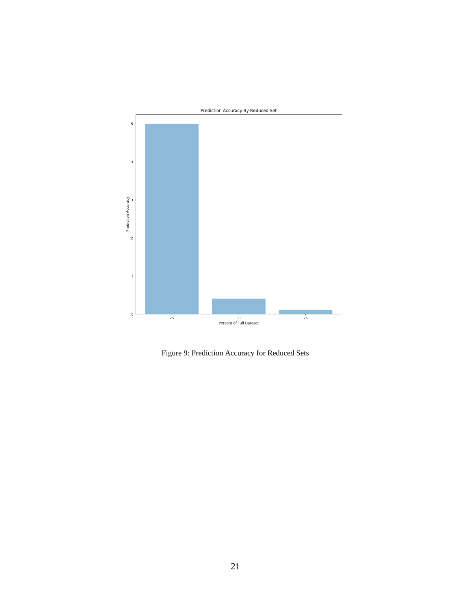

<span id="page-27-0"></span>Figure 9: Prediction Accuracy for Reduced Sets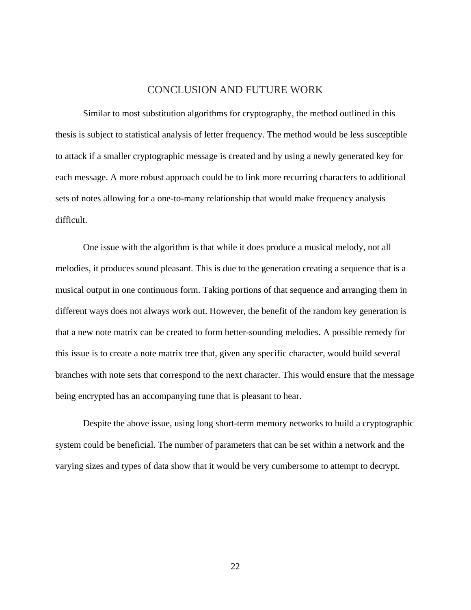#### CONCLUSION AND FUTURE WORK

<span id="page-28-0"></span>Similar to most substitution algorithms for cryptography, the method outlined in this thesis is subject to statistical analysis of letter frequency. The method would be less susceptible to attack if a smaller cryptographic message is created and by using a newly generated key for each message. A more robust approach could be to link more recurring characters to additional sets of notes allowing for a one-to-many relationship that would make frequency analysis difficult.

One issue with the algorithm is that while it does produce a musical melody, not all melodies, it produces sound pleasant. This is due to the generation creating a sequence that is a musical output in one continuous form. Taking portions of that sequence and arranging them in different ways does not always work out. However, the benefit of the random key generation is that a new note matrix can be created to form better-sounding melodies. A possible remedy for this issue is to create a note matrix tree that, given any specific character, would build several branches with note sets that correspond to the next character. This would ensure that the message being encrypted has an accompanying tune that is pleasant to hear.

Despite the above issue, using long short-term memory networks to build a cryptographic system could be beneficial. The number of parameters that can be set within a network and the varying sizes and types of data show that it would be very cumbersome to attempt to decrypt.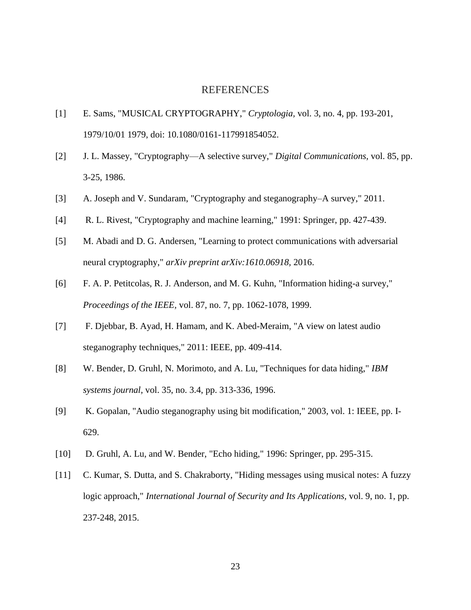#### REFERENCES

- <span id="page-29-0"></span>[1] E. Sams, "MUSICAL CRYPTOGRAPHY," *Cryptologia,* vol. 3, no. 4, pp. 193-201, 1979/10/01 1979, doi: 10.1080/0161-117991854052.
- [2] J. L. Massey, "Cryptography—A selective survey," *Digital Communications,* vol. 85, pp. 3-25, 1986.
- [3] A. Joseph and V. Sundaram, "Cryptography and steganography–A survey," 2011.
- [4] R. L. Rivest, "Cryptography and machine learning," 1991: Springer, pp. 427-439.
- [5] M. Abadi and D. G. Andersen, "Learning to protect communications with adversarial neural cryptography," *arXiv preprint arXiv:1610.06918,* 2016.
- [6] F. A. P. Petitcolas, R. J. Anderson, and M. G. Kuhn, "Information hiding-a survey," *Proceedings of the IEEE,* vol. 87, no. 7, pp. 1062-1078, 1999.
- [7] F. Djebbar, B. Ayad, H. Hamam, and K. Abed-Meraim, "A view on latest audio steganography techniques," 2011: IEEE, pp. 409-414.
- [8] W. Bender, D. Gruhl, N. Morimoto, and A. Lu, "Techniques for data hiding," *IBM systems journal,* vol. 35, no. 3.4, pp. 313-336, 1996.
- [9] K. Gopalan, "Audio steganography using bit modification," 2003, vol. 1: IEEE, pp. I-629.
- [10] D. Gruhl, A. Lu, and W. Bender, "Echo hiding," 1996: Springer, pp. 295-315.
- [11] C. Kumar, S. Dutta, and S. Chakraborty, "Hiding messages using musical notes: A fuzzy logic approach," *International Journal of Security and Its Applications,* vol. 9, no. 1, pp. 237-248, 2015.